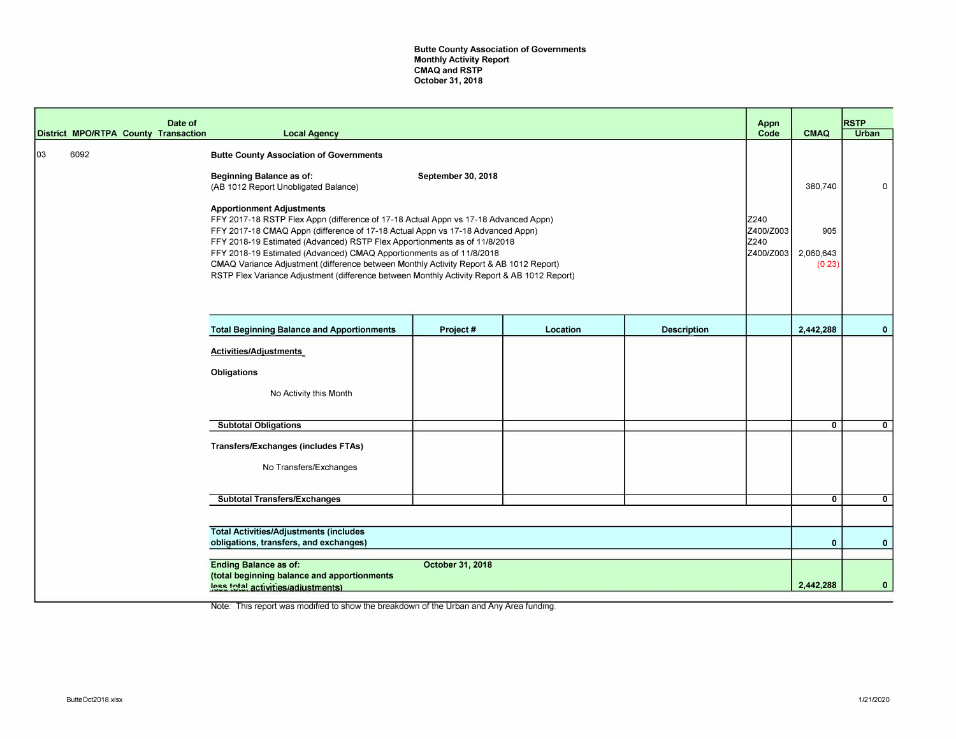Butte County Association of Governments Monthly Activity Report CMAQ and RSTP October 31, 2018

|    |      | Date of<br>District MPO/RTPA County Transaction | <b>Local Agency</b>                                                                                                                                                                                                                                                                                                                                                                                                                                                                                                                                     |                    |          |                    | Appn<br>Code                           | <b>CMAQ</b>                | <b>RSTP</b><br>Urban |
|----|------|-------------------------------------------------|---------------------------------------------------------------------------------------------------------------------------------------------------------------------------------------------------------------------------------------------------------------------------------------------------------------------------------------------------------------------------------------------------------------------------------------------------------------------------------------------------------------------------------------------------------|--------------------|----------|--------------------|----------------------------------------|----------------------------|----------------------|
| 03 | 6092 |                                                 | <b>Butte County Association of Governments</b><br>Beginning Balance as of:<br>(AB 1012 Report Unobligated Balance)                                                                                                                                                                                                                                                                                                                                                                                                                                      | September 30, 2018 |          |                    |                                        | 380,740                    | 0                    |
|    |      |                                                 | <b>Apportionment Adjustments</b><br>FFY 2017-18 RSTP Flex Appn (difference of 17-18 Actual Appn vs 17-18 Advanced Appn)<br>FFY 2017-18 CMAQ Appn (difference of 17-18 Actual Appn vs 17-18 Advanced Appn)<br>FFY 2018-19 Estimated (Advanced) RSTP Flex Apportionments as of 11/8/2018<br>FFY 2018-19 Estimated (Advanced) CMAQ Apportionments as of 11/8/2018<br>CMAQ Variance Adjustment (difference between Monthly Activity Report & AB 1012 Report)<br>RSTP Flex Variance Adjustment (difference between Monthly Activity Report & AB 1012 Report) |                    |          |                    | Z240<br>Z400/Z003<br>Z240<br>Z400/Z003 | 905<br>2,060,643<br>(0.23) |                      |
|    |      |                                                 | <b>Total Beginning Balance and Apportionments</b>                                                                                                                                                                                                                                                                                                                                                                                                                                                                                                       | Project#           | Location | <b>Description</b> |                                        | 2,442,288                  | $\mathbf{0}$         |
|    |      |                                                 | Activities/Adjustments<br>Obligations<br>No Activity this Month                                                                                                                                                                                                                                                                                                                                                                                                                                                                                         |                    |          |                    |                                        |                            |                      |
|    |      |                                                 | <b>Subtotal Obligations</b>                                                                                                                                                                                                                                                                                                                                                                                                                                                                                                                             |                    |          |                    |                                        | $\mathbf{0}$               | $\overline{0}$       |
|    |      |                                                 | Transfers/Exchanges (includes FTAs)<br>No Transfers/Exchanges                                                                                                                                                                                                                                                                                                                                                                                                                                                                                           |                    |          |                    |                                        |                            |                      |
|    |      |                                                 | <b>Subtotal Transfers/Exchanges</b>                                                                                                                                                                                                                                                                                                                                                                                                                                                                                                                     |                    |          |                    |                                        | 0                          | $\mathbf{0}$         |
|    |      |                                                 |                                                                                                                                                                                                                                                                                                                                                                                                                                                                                                                                                         |                    |          |                    |                                        |                            |                      |
|    |      |                                                 | <b>Total Activities/Adjustments (includes</b><br>obligations, transfers, and exchanges)                                                                                                                                                                                                                                                                                                                                                                                                                                                                 |                    |          |                    |                                        | $\mathbf 0$                | $\mathbf{0}$         |
|    |      |                                                 | <b>Ending Balance as of:</b><br>(total beginning balance and apportionments<br>less total activities/adjustments)                                                                                                                                                                                                                                                                                                                                                                                                                                       | October 31, 2018   |          |                    |                                        | 2,442,288                  | $\mathbf{0}$         |

Note: This report was modified to show the breakdown of the Urban and Any Area funding.